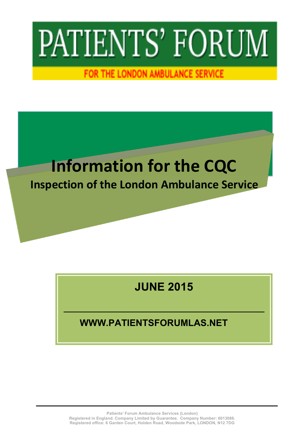# PATIENTS' FORUM

FOR THE LONDON AMBULANCE SERVICE

## **Information for the CQC**

### **Inspection of the London Ambulance Service**

### **JUNE 2015**

### **WWW.PATIENTSFORUMLAS.NET**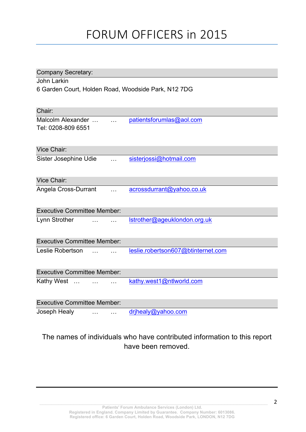### FORUM OFFICERS in 2015

| <b>Company Secretary:</b>                           |                      |                                    |  |  |  |  |  |  |  |  |
|-----------------------------------------------------|----------------------|------------------------------------|--|--|--|--|--|--|--|--|
| John Larkin                                         |                      |                                    |  |  |  |  |  |  |  |  |
| 6 Garden Court, Holden Road, Woodside Park, N12 7DG |                      |                                    |  |  |  |  |  |  |  |  |
|                                                     |                      |                                    |  |  |  |  |  |  |  |  |
| Chair:                                              |                      |                                    |  |  |  |  |  |  |  |  |
| Malcolm Alexander                                   | $\ddotsc$            | patientsforumlas@aol.com           |  |  |  |  |  |  |  |  |
| Tel: 0208-809 6551                                  |                      |                                    |  |  |  |  |  |  |  |  |
|                                                     |                      |                                    |  |  |  |  |  |  |  |  |
| Vice Chair:                                         |                      |                                    |  |  |  |  |  |  |  |  |
|                                                     |                      |                                    |  |  |  |  |  |  |  |  |
| Sister Josephine Udie                               |                      | sisterjossi@hotmail.com            |  |  |  |  |  |  |  |  |
|                                                     |                      |                                    |  |  |  |  |  |  |  |  |
| Vice Chair:                                         |                      |                                    |  |  |  |  |  |  |  |  |
| Angela Cross-Durrant                                |                      | acrossdurrant@yahoo.co.uk          |  |  |  |  |  |  |  |  |
|                                                     |                      |                                    |  |  |  |  |  |  |  |  |
| <b>Executive Committee Member:</b>                  |                      |                                    |  |  |  |  |  |  |  |  |
|                                                     |                      |                                    |  |  |  |  |  |  |  |  |
| Lynn Strother                                       |                      | Istrother@ageuklondon.org.uk       |  |  |  |  |  |  |  |  |
|                                                     |                      |                                    |  |  |  |  |  |  |  |  |
| <b>Executive Committee Member:</b>                  |                      |                                    |  |  |  |  |  |  |  |  |
| Leslie Robertson                                    |                      | leslie.robertson607@btinternet.com |  |  |  |  |  |  |  |  |
|                                                     |                      |                                    |  |  |  |  |  |  |  |  |
|                                                     |                      |                                    |  |  |  |  |  |  |  |  |
| <b>Executive Committee Member:</b>                  |                      |                                    |  |  |  |  |  |  |  |  |
| Kathy West                                          |                      | kathy.west1@ntlworld.com           |  |  |  |  |  |  |  |  |
|                                                     |                      |                                    |  |  |  |  |  |  |  |  |
| <b>Executive Committee Member:</b>                  |                      |                                    |  |  |  |  |  |  |  |  |
| Joseph Healy                                        | $\sim$ $\sim$ $\sim$ | drihealy@yahoo.com                 |  |  |  |  |  |  |  |  |

### The names of individuals who have contributed information to this report have been removed.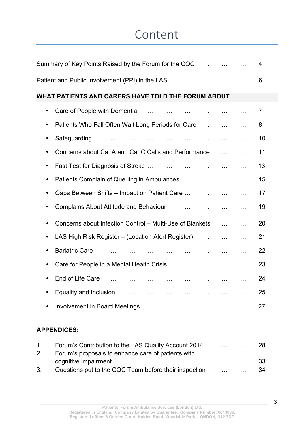### Content

| Summary of Key Points Raised by the Forum for the CQC<br>and the con-                                       | 4  |  |  |  |  |  |  |  |  |  |  |  |
|-------------------------------------------------------------------------------------------------------------|----|--|--|--|--|--|--|--|--|--|--|--|
| Patient and Public Involvement (PPI) in the LAS<br>$\ddotsc$                                                | 6  |  |  |  |  |  |  |  |  |  |  |  |
| WHAT PATIENTS AND CARERS HAVE TOLD THE FORUM ABOUT                                                          |    |  |  |  |  |  |  |  |  |  |  |  |
| Care of People with Dementia<br>$\bullet$<br>$\mathbf{r}$<br>$\ddotsc$<br>$\cdots$<br>$\ddotsc$             | 7  |  |  |  |  |  |  |  |  |  |  |  |
| Patients Who Fall Often Wait Long Periods for Care<br>$\ddotsc$<br>$\mathbf{r}$<br>.                        | 8  |  |  |  |  |  |  |  |  |  |  |  |
| Safeguarding<br>$\cdots$<br>$\ddotsc$<br>$\sim 100$<br>$\cdots$                                             | 10 |  |  |  |  |  |  |  |  |  |  |  |
| Concerns about Cat A and Cat C Calls and Performance<br>$\mathbf{a}$<br>$\ddotsc$                           | 11 |  |  |  |  |  |  |  |  |  |  |  |
| Fast Test for Diagnosis of Stroke<br>$\sim 100$<br>$\ddotsc$<br>.<br>$\ddotsc$<br>$\ddotsc$                 | 13 |  |  |  |  |  |  |  |  |  |  |  |
| Patients Complain of Queuing in Ambulances<br>$\sim 100$<br>$\mathbf{1}$<br>$\ddotsc$                       | 15 |  |  |  |  |  |  |  |  |  |  |  |
| Gaps Between Shifts - Impact on Patient Care<br>$\sim 100$<br>.<br>$\ddotsc$                                | 17 |  |  |  |  |  |  |  |  |  |  |  |
| <b>Complains About Attitude and Behaviour</b><br>$\mathbf{r}$<br>$\ddotsc$<br>$\ldots$<br>.                 | 19 |  |  |  |  |  |  |  |  |  |  |  |
| Concerns about Infection Control - Multi-Use of Blankets<br>$\cdots$<br>$\ddotsc$                           | 20 |  |  |  |  |  |  |  |  |  |  |  |
| LAS High Risk Register – (Location Alert Register)<br>$\mathbf{1}$<br>$\ddotsc$<br>$\ddotsc$                | 21 |  |  |  |  |  |  |  |  |  |  |  |
| <b>Bariatric Care</b><br>$\cdots$<br>$\ldots$<br>.                                                          | 22 |  |  |  |  |  |  |  |  |  |  |  |
| Care for People in a Mental Health Crisis<br>.<br>$\cdots$<br>$\ddotsc$<br>.                                | 23 |  |  |  |  |  |  |  |  |  |  |  |
| End of Life Care<br>$\ddotsc$<br>.<br>$\ddotsc$<br>$\cdots$<br>$\cdots$                                     | 24 |  |  |  |  |  |  |  |  |  |  |  |
| Equality and Inclusion<br>.<br>$\cdots$<br>$\sim 100$<br>$\mathbf{1}$<br>$\ddotsc$<br>$\sim 10$<br>$\cdots$ | 25 |  |  |  |  |  |  |  |  |  |  |  |
| <b>Involvement in Board Meetings</b><br>$\ddotsc$<br>.                                                      | 27 |  |  |  |  |  |  |  |  |  |  |  |
|                                                                                                             |    |  |  |  |  |  |  |  |  |  |  |  |

### **APPENDICES:**

| $\mathbf{1}$ | Forum's Contribution to the LAS Quality Account 2014                                                                                                                                                                           | $\mathbf{1}$         |              | 28   |
|--------------|--------------------------------------------------------------------------------------------------------------------------------------------------------------------------------------------------------------------------------|----------------------|--------------|------|
| 2.           | Forum's proposals to enhance care of patients with                                                                                                                                                                             |                      |              |      |
|              | cognitive impairment and the contract of the contract of the contract of the contract of the contract of the contract of the contract of the contract of the contract of the contract of the contract of the contract of the c | $\sim$ $\sim$ $\sim$ | $\sim 100$   | -33  |
|              | Questions put to the CQC Team before their inspection                                                                                                                                                                          | $\mathbf{r}$         | $\mathbf{L}$ | - 34 |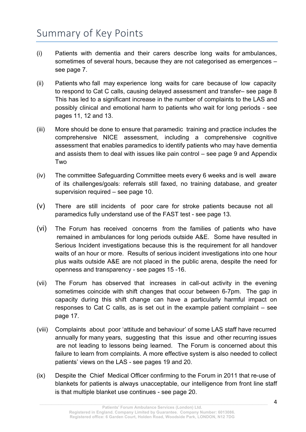### Summary of Key Points

- (i) Patients with dementia and their carers describe long waits for ambulances, sometimes of several hours, because they are not categorised as emergences – see page 7.
- (ii) Patients who fall may experience long waits for care because of low capacity to respond to Cat C calls, causing delayed assessment and transfer– see page 8 This has led to a significant increase in the number of complaints to the LAS and possibly clinical and emotional harm to patients who wait for long periods - see pages 11, 12 and 13.
- (iii) More should be done to ensure that paramedic training and practice includes the comprehensive NICE assessment, including a comprehensive cognitive assessment that enables paramedics to identify patients who may have dementia and assists them to deal with issues like pain control – see page 9 and Appendix Two
- (iv) The committee Safeguarding Committee meets every 6 weeks and is well aware of its challenges/goals: referrals still faxed, no training database, and greater supervision required – see page 10.
- (v) There are still incidents of poor care for stroke patients because not all paramedics fully understand use of the FAST test - see page 13.
- (vi) The Forum has received concerns from the families of patients who have remained in ambulances for long periods outside A&E. Some have resulted in Serious Incident investigations because this is the requirement for all handover waits of an hour or more. Results of serious incident investigations into one hour plus waits outside A&E are not placed in the public arena, despite the need for openness and transparency - see pages 15 -16.
- (vii) The Forum has observed that increases in call-out activity in the evening sometimes coincide with shift changes that occur between 6-7pm. The gap in capacity during this shift change can have a particularly harmful impact on responses to Cat C calls, as is set out in the example patient complaint – see page 17.
- (viii) Complaints about poor 'attitude and behaviour' of some LAS staff have recurred annually for many years, suggesting that this issue and other recurring issues are not leading to lessons being learned. The Forum is concerned about this failure to learn from complaints. A more effective system is also needed to collect patients' views on the LAS - see pages 19 and 20.
- (ix) Despite the Chief Medical Officer confirming to the Forum in 2011 that re-use of blankets for patients is always unacceptable, our intelligence from front line staff is that multiple blanket use continues - see page 20.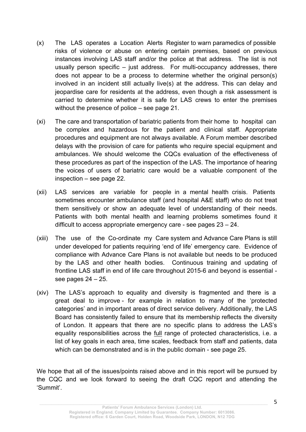- (x) The LAS operates a Location Alerts Register to warn paramedics of possible risks of violence or abuse on entering certain premises, based on previous instances involving LAS staff and/or the police at that address. The list is not usually person specific – just address. For multi-occupancy addresses, there does not appear to be a process to determine whether the original person(s) involved in an incident still actually live(s) at the address. This can delay and jeopardise care for residents at the address, even though a risk assessment is carried to determine whether it is safe for LAS crews to enter the premises without the presence of police – see page 21.
- (xi) The care and transportation of bariatric patients from their home to hospital can be complex and hazardous for the patient and clinical staff. Appropriate procedures and equipment are not always available. A Forum member described delays with the provision of care for patients who require special equipment and ambulances. We should welcome the CQCs evaluation of the effectiveness of these procedures as part of the inspection of the LAS. The importance of hearing the voices of users of bariatric care would be a valuable component of the inspection – see page 22.
- (xii) LAS services are variable for people in a mental health crisis. Patients sometimes encounter ambulance staff (and hospital A&E staff) who do not treat them sensitively or show an adequate level of understanding of their needs. Patients with both mental health and learning problems sometimes found it difficult to access appropriate emergency care - see pages 23 – 24.
- (xiii) The use of the Co-ordinate my Care system and Advance Care Plans is still under developed for patients requiring 'end of life' emergency care. Evidence of compliance with Advance Care Plans is not available but needs to be produced by the LAS and other health bodies. Continuous training and updating of frontline LAS staff in end of life care throughout 2015-6 and beyond is essential see pages 24 – 25.
- (xiv) The LAS's approach to equality and diversity is fragmented and there is a great deal to improve - for example in relation to many of the 'protected categories' and in important areas of direct service delivery. Additionally, the LAS Board has consistently failed to ensure that its membership reflects the diversity of London. It appears that there are no specific plans to address the LAS's equality responsibilities across the full range of protected characteristics, i.e. a list of key goals in each area, time scales, feedback from staff and patients, data which can be demonstrated and is in the public domain - see page 25.

We hope that all of the issues/points raised above and in this report will be pursued by the CQC and we look forward to seeing the draft CQC report and attending the 'Summit'.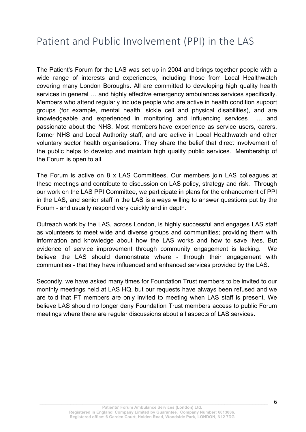The Patient's Forum for the LAS was set up in 2004 and brings together people with a wide range of interests and experiences, including those from Local Healthwatch covering many London Boroughs. All are committed to developing high quality health services in general … and highly effective emergency ambulances services specifically. Members who attend regularly include people who are active in health condition support groups (for example, mental health, sickle cell and physical disabilities), and are knowledgeable and experienced in monitoring and influencing services … and passionate about the NHS. Most members have experience as service users, carers, former NHS and Local Authority staff, and are active in Local Healthwatch and other voluntary sector health organisations. They share the belief that direct involvement of the public helps to develop and maintain high quality public services. Membership of the Forum is open to all.

The Forum is active on 8 x LAS Committees. Our members join LAS colleagues at these meetings and contribute to discussion on LAS policy, strategy and risk. Through our work on the LAS PPI Committee, we participate in plans for the enhancement of PPI in the LAS, and senior staff in the LAS is always willing to answer questions put by the Forum - and usually respond very quickly and in depth.

Outreach work by the LAS, across London, is highly successful and engages LAS staff as volunteers to meet wide and diverse groups and communities; providing them with information and knowledge about how the LAS works and how to save lives. But evidence of service improvement through community engagement is lacking. We believe the LAS should demonstrate where - through their engagement with communities - that they have influenced and enhanced services provided by the LAS.

Secondly, we have asked many times for Foundation Trust members to be invited to our monthly meetings held at LAS HQ, but our requests have always been refused and we are told that FT members are only invited to meeting when LAS staff is present. We believe LAS should no longer deny Foundation Trust members access to public Forum meetings where there are regular discussions about all aspects of LAS services.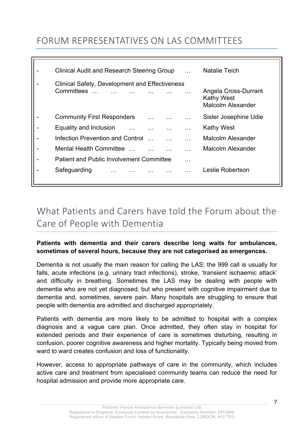### FORUM REPRESENTATIVES ON LAS COMMITTEES

| Clinical Audit and Research Steering Group                             |   | Natalie Teich                                                         |
|------------------------------------------------------------------------|---|-----------------------------------------------------------------------|
| Clinical Safety, Development and Effectiveness<br>Committees<br>$\sim$ |   | Angela Cross-Durrant<br><b>Kathy West</b><br><b>Malcolm Alexander</b> |
| <b>Community First Responders</b>                                      |   | Sister Josephine Udie                                                 |
| Equality and Inclusion                                                 |   | <b>Kathy West</b>                                                     |
| Infection Prevention and Control                                       |   | <b>Malcolm Alexander</b>                                              |
| <b>Mental Health Committee</b>                                         |   | <b>Malcolm Alexander</b>                                              |
| <b>Patient and Public Involvement Committee</b>                        | . |                                                                       |
| Safeguarding                                                           |   | Leslie Robertson                                                      |

### What Patients and Carers have told the Forum about the Care of People with Dementia

### **Patients with dementia and their carers describe long waits for ambulances, sometimes of several hours, because they are not categorised as emergences.**

Dementia is not usually the main reason for calling the LAS; the 999 call is usually for falls, acute infections (e.g. urinary tract infections), stroke, 'transient ischaemic attack' and difficulty in breathing. Sometimes the LAS may be dealing with people with dementia who are not yet diagnosed, but who present with cognitive impairment due to dementia and, sometimes, severe pain. Many hospitals are struggling to ensure that people with dementia are admitted and discharged appropriately.

Patients with dementia are more likely to be admitted to hospital with a complex diagnosis and a vague care plan. Once admitted, they often stay in hospital for extended periods and their experience of care is sometimes disturbing, resulting in confusion, poorer cognitive awareness and higher mortality. Typically being moved from ward to ward creates confusion and loss of functionality.

However, access to appropriate pathways of care in the community, which includes active care and treatment from specialised community teams can reduce the need for hospital admission and provide more appropriate care.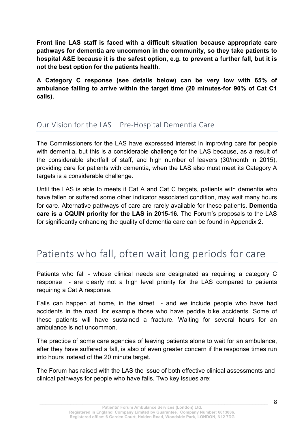**Front line LAS staff is faced with a difficult situation because appropriate care pathways for dementia are uncommon in the community, so they take patients to hospital A&E because it is the safest option, e.g. to prevent a further fall, but it is not the best option for the patients health.** 

**A Category C response (see details below) can be very low with 65% of ambulance failing to arrive within the target time (20 minutes-for 90% of Cat C1 calls).**

### Our Vision for the LAS – Pre-Hospital Dementia Care

The Commissioners for the LAS have expressed interest in improving care for people with dementia, but this is a considerable challenge for the LAS because, as a result of the considerable shortfall of staff, and high number of leavers (30/month in 2015), providing care for patients with dementia, when the LAS also must meet its Category A targets is a considerable challenge.

Until the LAS is able to meets it Cat A and Cat C targets, patients with dementia who have fallen or suffered some other indicator associated condition, may wait many hours for care. Alternative pathways of care are rarely available for these patients. **Dementia care is a CQUIN priority for the LAS in 2015-16.** The Forum's proposals to the LAS for significantly enhancing the quality of dementia care can be found in Appendix 2.

### Patients who fall, often wait long periods for care

Patients who fall - whose clinical needs are designated as requiring a category C response - are clearly not a high level priority for the LAS compared to patients requiring a Cat A response.

Falls can happen at home, in the street - and we include people who have had accidents in the road, for example those who have peddle bike accidents. Some of these patients will have sustained a fracture. Waiting for several hours for an ambulance is not uncommon.

The practice of some care agencies of leaving patients alone to wait for an ambulance, after they have suffered a fall, is also of even greater concern if the response times run into hours instead of the 20 minute target.

The Forum has raised with the LAS the issue of both effective clinical assessments and clinical pathways for people who have falls. Two key issues are: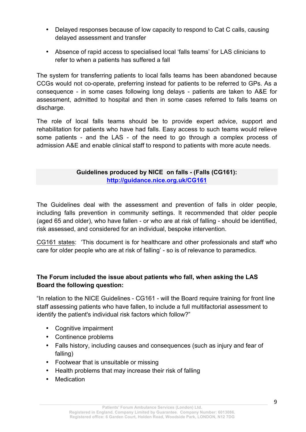- Delayed responses because of low capacity to respond to Cat C calls, causing delayed assessment and transfer
- Absence of rapid access to specialised local 'falls teams' for LAS clinicians to refer to when a patients has suffered a fall

The system for transferring patients to local falls teams has been abandoned because CCGs would not co-operate, preferring instead for patients to be referred to GPs. As a consequence - in some cases following long delays - patients are taken to A&E for assessment, admitted to hospital and then in some cases referred to falls teams on discharge.

The role of local falls teams should be to provide expert advice, support and rehabilitation for patients who have had falls. Easy access to such teams would relieve some patients - and the LAS - of the need to go through a complex process of admission A&E and enable clinical staff to respond to patients with more acute needs.

### **Guidelines produced by NICE on falls - (Falls (CG161): http://guidance.nice.org.uk/CG161**

The Guidelines deal with the assessment and prevention of falls in older people, including falls prevention in community settings. It recommended that older people (aged 65 and older), who have fallen - or who are at risk of falling - should be identified, risk assessed, and considered for an individual, bespoke intervention.

CG161 states: 'This document is for healthcare and other professionals and staff who care for older people who are at risk of falling' - so is of relevance to paramedics.

### **The Forum included the issue about patients who fall, when asking the LAS Board the following question:**

"In relation to the NICE Guidelines - CG161 - will the Board require training for front line staff assessing patients who have fallen, to include a full multifactorial assessment to identify the patient's individual risk factors which follow?"

- Cognitive impairment
- Continence problems
- Falls history, including causes and consequences (such as injury and fear of falling)
- Footwear that is unsuitable or missing
- Health problems that may increase their risk of falling
- **Medication**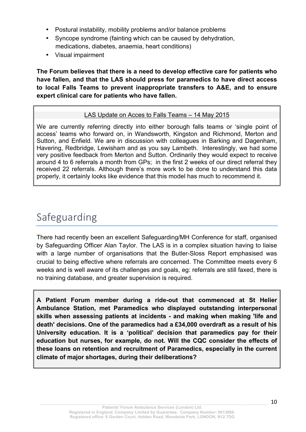- Postural instability, mobility problems and/or balance problems
- Syncope syndrome (fainting which can be caused by dehydration, medications, diabetes, anaemia, heart conditions)
- Visual impairment

**The Forum believes that there is a need to develop effective care for patients who have fallen, and that the LAS should press for paramedics to have direct access to local Falls Teams to prevent inappropriate transfers to A&E, and to ensure expert clinical care for patients who have fallen.**

#### LAS Update on Acces to Falls Teams – 14 May 2015

We are currently referring directly into either borough falls teams or 'single point of access' teams who forward on, in Wandsworth, Kingston and Richmond, Merton and Sutton, and Enfield. We are in discussion with colleagues in Barking and Dagenham, Havering, Redbridge, Lewisham and as you say Lambeth. Interestingly, we had some very positive feedback from Merton and Sutton. Ordinarily they would expect to receive around 4 to 6 referrals a month from GPs; in the first 2 weeks of our direct referral they received 22 referrals. Although there's more work to be done to understand this data properly, it certainly looks like evidence that this model has much to recommend it.

### Safeguarding

There had recently been an excellent Safeguarding/MH Conference for staff, organised by Safeguarding Officer Alan Taylor. The LAS is in a complex situation having to liaise with a large number of organisations that the Butler-Sloss Report emphasised was crucial to being effective where referrals are concerned. The Committee meets every 6 weeks and is well aware of its challenges and goals, eg: referrals are still faxed, there is no training database, and greater supervision is required.

**A Patient Forum member during a ride-out that commenced at St Helier Ambulance Station, met Paramedics who displayed outstanding interpersonal skills when assessing patients at incidents - and making when making 'life and death' decisions. One of the paramedics had a £34,000 overdraft as a result of his University education. It is a 'political' decision that paramedics pay for their education but nurses, for example, do not. Will the CQC consider the effects of these loans on retention and recruitment of Paramedics, especially in the current climate of major shortages, during their deliberations?**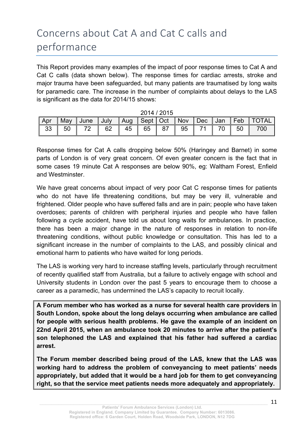### Concerns about Cat A and Cat C calls and performance

This Report provides many examples of the impact of poor response times to Cat A and Cat C calls (data shown below). The response times for cardiac arrests, stroke and major trauma have been safeguarded, but many patients are traumatised by long waits for paramedic care. The increase in the number of complaints about delays to the LAS is significant as the data for 2014/15 shows:

| <b>_________</b> |                                                      |  |  |  |  |  |  |  |  |                                                                            |
|------------------|------------------------------------------------------|--|--|--|--|--|--|--|--|----------------------------------------------------------------------------|
|                  |                                                      |  |  |  |  |  |  |  |  | Apr   May   June   July   Aug   Sept   Oct   Nov   Dec   Jan   Feb   TOTAL |
|                  | 33   50   72   62   45   65   87   95   71   70   50 |  |  |  |  |  |  |  |  | 700                                                                        |

2014 / 2015

Response times for Cat A calls dropping below 50% (Haringey and Barnet) in some parts of London is of very great concern. Of even greater concern is the fact that in some cases 19 minute Cat A responses are below 90%, eg: Waltham Forest, Enfield and Westminster.

We have great concerns about impact of very poor Cat C response times for patients who do not have life threatening conditions, but may be very ill, vulnerable and frightened. Older people who have suffered falls and are in pain; people who have taken overdoses; parents of children with peripheral injuries and people who have fallen following a cycle accident, have told us about long waits for ambulances. In practice, there has been a major change in the nature of responses in relation to non-life threatening conditions, without public knowledge or consultation. This has led to a significant increase in the number of complaints to the LAS, and possibly clinical and emotional harm to patients who have waited for long periods.

The LAS is working very hard to increase staffing levels, particularly through recruitment of recently qualified staff from Australia, but a failure to actively engage with school and University students in London over the past 5 years to encourage them to choose a career as a paramedic, has undermined the LAS's capacity to recruit locally.

**A Forum member who has worked as a nurse for several health care providers in South London, spoke about the long delays occurring when ambulance are called for people with serious health problems. He gave the example of an incident on 22nd April 2015, when an ambulance took 20 minutes to arrive after the patient's son telephoned the LAS and explained that his father had suffered a cardiac arrest.**

**The Forum member described being proud of the LAS, knew that the LAS was working hard to address the problem of conveyancing to meet patients' needs appropriately, but added that it would be a hard job for them to get conveyancing right, so that the service meet patients needs more adequately and appropriately.**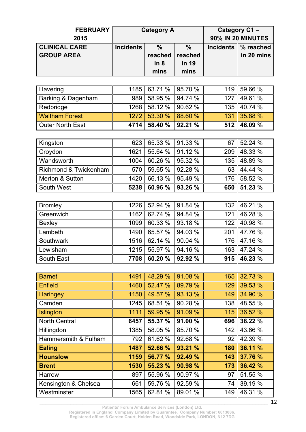| <b>FEBRUARY</b><br>2015 |                  | <b>Category A</b> | Category C1-<br>90% IN 20 MINUTES |                  |            |  |
|-------------------------|------------------|-------------------|-----------------------------------|------------------|------------|--|
| <b>CLINICAL CARE</b>    | <b>Incidents</b> | $\frac{0}{0}$     | $\frac{0}{0}$                     | <b>Incidents</b> | % reached  |  |
| <b>GROUP AREA</b>       |                  | reached           | reached                           |                  | in 20 mins |  |
|                         |                  | in 8              | in 19                             |                  |            |  |
|                         |                  | mins              | mins                              |                  |            |  |
|                         |                  |                   |                                   |                  |            |  |
| Havering                | 1185             | 63.71 %           | 95.70 %                           | 119              | 59.66 %    |  |
| Barking & Dagenham      | 989              | 58.95 %           | 94.74 %                           | 127              | 49.61 %    |  |
| Redbridge               | 1268             | 58.12 %           | 90.62 %                           | 135              | 40.74 %    |  |
| <b>Waltham Forest</b>   | 1272             | 53.30 %           | 88.60 %                           | 131              | 35.88 %    |  |
| <b>Outer North East</b> | 4714             | 58.40 %           | 92.21 %                           | 512              | 46.09 %    |  |
|                         |                  |                   |                                   |                  |            |  |
| Kingston                | 623              | 65.33 %           | 91.33 %                           | 67               | 52.24 %    |  |
| Croydon                 | 1621             | 55.64 %           | 91.12 %                           | 209              | 48.33 %    |  |
| Wandsworth              | 1004             | 60.26 %           | 95.32 %                           | 135              | 48.89 %    |  |
| Richmond & Twickenham   | 570              | 59.65 %           | 92.28 %                           | 63               | 44.44 %    |  |
| Merton & Sutton         | 1420             | 66.13 %           | 95.49 %                           | 176              | 58.52 %    |  |
| South West              | 5238             | 60.96 %           | 93.26 %                           | 650              | 51.23 %    |  |
|                         |                  |                   |                                   |                  |            |  |
| <b>Bromley</b>          | 1226             | 52.94 %           | 91.84 %                           | 132              | 46.21 %    |  |
| Greenwich               | 1162             | 62.74 %           | 94.84 %                           | 121              | 46.28 %    |  |
| <b>Bexley</b>           | 1099             | 60.33 %           | 93.18 %                           | 122              | 40.98 %    |  |
| Lambeth                 | 1490             | 65.57 %           | 94.03 %                           | 201              | 47.76 %    |  |
| Southwark               | 1516             | 62.14 %           | 90.04 %                           | 176              | 47.16 %    |  |
| Lewisham                | 1215             | 55.97 %           | 94.16 %                           | 163              | 47.24 %    |  |
| South East              | 7708             | 60.20 %           | 92.92 %                           | 915              | 46.23 %    |  |
|                         |                  |                   |                                   |                  |            |  |
| <b>Barnet</b>           | 1491             | 48.29 %           | 91.08 %                           | 165              | 32.73 %    |  |
| <b>Enfield</b>          | 1460             | 52.47 %           | 89.79 %                           | 129              | 39.53 %    |  |
| <b>Haringey</b>         | 1150             | 49.57 %           | 93.13 %                           | 149              | 34.90 %    |  |
| Camden                  | 1245             | 68.51 %           | 90.28 %                           | 138              | 48.55 %    |  |
| Islington               | 1111             | 59.95 %           | 91.09 %                           | 115              | 36.52 %    |  |
| North Central           | 6457             | 55.37 %           | 91.00 %                           | 696              | 38.22 %    |  |
| Hillingdon              | 1385             | 58.05 %           | 85.70 %                           | 142              | 43.66 %    |  |
| Hammersmith & Fulham    | 792              | 61.62 %           | 92.68 %                           | 92               | 42.39 %    |  |
| <b>Ealing</b>           | 1487             | 52.66 %           | 93.21 %                           | 180              | 36.11 %    |  |
| <b>Hounslow</b>         | 1159             | 56.77 %           | 92.49 %                           | 143              | 37.76 %    |  |
| <b>Brent</b>            | 1530             | 55.23 %           | 90.98 %                           | 173              | 36.42 %    |  |
| Harrow                  | 897              | 55.96 %           | 90.97 %                           | 97               | 51.55 %    |  |
| Kensington & Chelsea    | 661              | 59.76 %           | 92.59 %                           | 74               | 39.19 %    |  |
| Westminster             | 1565             | 62.81 %           | 89.01 %                           | 149              | 46.31 %    |  |

**Patients' Forum Ambulance Services (London) Ltd.**

**Registered in England. Company Limited by Guarantee. Company Number: 6013086. Registered office: 6 Garden Court, Holden Road, Woodside Park, LONDON, N12 7DG**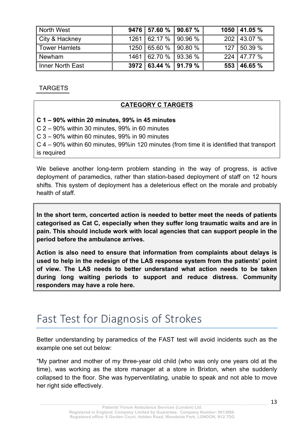| North West              | $9476$ 57.60 % 90.67 % |  | 1050 41.05 %  |
|-------------------------|------------------------|--|---------------|
| City & Hackney          | $1261$ 62.17 % 90.96 % |  | 202 43.07 %   |
| Tower Hamlets           | $1250$ 65.60 % 90.80 % |  | 127 50.39 %   |
| <b>Newham</b>           | 1461 62.70 % 93.36 %   |  | $224$ 47.77 % |
| <b>Inner North East</b> | $3972$ 63.44 % 91.79 % |  | $553$ 46.65 % |

TARGETS

### **CATEGORY C TARGETS**

#### **C 1 – 90% within 20 minutes, 99% in 45 minutes**

C 2 – 90% within 30 minutes, 99% in 60 minutes

C 3 – 90% within 60 minutes, 99% in 90 minutes

C 4 – 90% within 60 minutes, 99%in 120 minutes (from time it is identified that transport is required

We believe another long-term problem standing in the way of progress, is active deployment of paramedics, rather than station-based deployment of staff on 12 hours shifts. This system of deployment has a deleterious effect on the morale and probably health of staff.

**In the short term, concerted action is needed to better meet the needs of patients categorised as Cat C, especially when they suffer long traumatic waits and are in pain. This should include work with local agencies that can support people in the period before the ambulance arrives.**

**Action is also need to ensure that information from complaints about delays is used to help in the redesign of the LAS response system from the patients' point of view. The LAS needs to better understand what action needs to be taken during long waiting periods to support and reduce distress. Community responders may have a role here.**

### Fast Test for Diagnosis of Strokes

Better understanding by paramedics of the FAST test will avoid incidents such as the example one set out below:

"My partner and mother of my three-year old child (who was only one years old at the time), was working as the store manager at a store in Brixton, when she suddenly collapsed to the floor. She was hyperventilating, unable to speak and not able to move her right side effectively.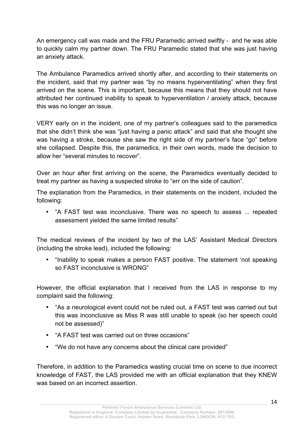An emergency call was made and the FRU Paramedic arrived swiftly - and he was able to quickly calm my partner down. The FRU Paramedic stated that she was just having an anxiety attack.

The Ambulance Paramedics arrived shortly after, and according to their statements on the incident, said that my partner was "by no means hyperventilating" when they first arrived on the scene. This is important, because this means that they should not have attributed her continued inability to speak to hyperventilation / anxiety attack, because this was no longer an issue.

VERY early on in the incident, one of my partner's colleagues said to the paramedics that she didn't think she was "just having a panic attack" and said that she thought she was having a stroke, because she saw the right side of my partner's face "go" before she collapsed. Despite this, the paramedics, in their own words, made the decision to allow her "several minutes to recover".

Over an hour after first arriving on the scene, the Paramedics eventually decided to treat my partner as having a suspected stroke to "err on the side of caution".

The explanation from the Paramedics, in their statements on the incident, included the following:

• "A FAST test was inconclusive. There was no speech to assess ... repeated assessment yielded the same limited results"

The medical reviews of the incident by two of the LAS' Assistant Medical Directors (including the stroke lead), included the following:

• "Inability to speak makes a person FAST positive. The statement 'not speaking so FAST inconclusive is WRONG"

However, the official explanation that I received from the LAS in response to my complaint said the following:

- "As a neurological event could not be ruled out, a FAST test was carried out but this was inconclusive as Miss R was still unable to speak (so her speech could not be assessed)"
- "A FAST test was carried out on three occasions"
- "We do not have any concerns about the clinical care provided"

Therefore, in addition to the Paramedics wasting crucial time on scene to due incorrect knowledge of FAST, the LAS provided me with an official explanation that they KNEW was based on an incorrect assertion.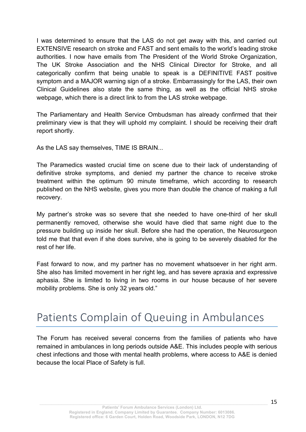I was determined to ensure that the LAS do not get away with this, and carried out EXTENSIVE research on stroke and FAST and sent emails to the world's leading stroke authorities. I now have emails from The President of the World Stroke Organization, The UK Stroke Association and the NHS Clinical Director for Stroke, and all categorically confirm that being unable to speak is a DEFINITIVE FAST positive symptom and a MAJOR warning sign of a stroke. Embarrassingly for the LAS, their own Clinical Guidelines also state the same thing, as well as the official NHS stroke webpage, which there is a direct link to from the LAS stroke webpage.

The Parliamentary and Health Service Ombudsman has already confirmed that their preliminary view is that they will uphold my complaint. I should be receiving their draft report shortly.

As the LAS say themselves, TIME IS BRAIN...

The Paramedics wasted crucial time on scene due to their lack of understanding of definitive stroke symptoms, and denied my partner the chance to receive stroke treatment within the optimum 90 minute timeframe, which according to research published on the NHS website, gives you more than double the chance of making a full recovery.

My partner's stroke was so severe that she needed to have one-third of her skull permanently removed, otherwise she would have died that same night due to the pressure building up inside her skull. Before she had the operation, the Neurosurgeon told me that that even if she does survive, she is going to be severely disabled for the rest of her life.

Fast forward to now, and my partner has no movement whatsoever in her right arm. She also has limited movement in her right leg, and has severe apraxia and expressive aphasia. She is limited to living in two rooms in our house because of her severe mobility problems. She is only 32 years old."

### Patients Complain of Queuing in Ambulances

The Forum has received several concerns from the families of patients who have remained in ambulances in long periods outside A&E. This includes people with serious chest infections and those with mental health problems, where access to A&E is denied because the local Place of Safety is full.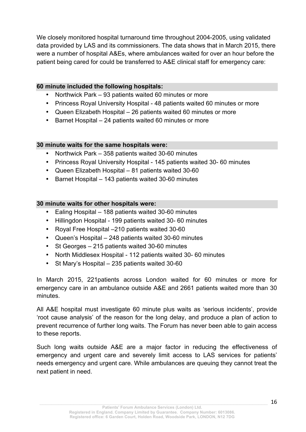We closely monitored hospital turnaround time throughout 2004-2005, using validated data provided by LAS and its commissioners. The data shows that in March 2015, there were a number of hospital A&Es, where ambulances waited for over an hour before the patient being cared for could be transferred to A&E clinical staff for emergency care:

#### **60 minute included the following hospitals:**

- Northwick Park 93 patients waited 60 minutes or more
- Princess Royal University Hospital 48 patients waited 60 minutes or more
- Queen Elizabeth Hospital 26 patients waited 60 minutes or more
- Barnet Hospital 24 patients waited 60 minutes or more

#### **30 minute waits for the same hospitals were:**

- Northwick Park 358 patients waited 30-60 minutes
- Princess Royal University Hospital 145 patients waited 30- 60 minutes
- Queen Elizabeth Hospital 81 patients waited 30-60
- Barnet Hospital 143 patients waited 30-60 minutes

#### **30 minute waits for other hospitals were:**

- Ealing Hospital 188 patients waited 30-60 minutes
- Hillingdon Hospital 199 patients waited 30- 60 minutes
- Royal Free Hospital –210 patients waited 30-60
- Queen's Hospital 248 patients waited 30-60 minutes
- St Georges 215 patients waited 30-60 minutes
- North Middlesex Hospital 112 patients waited 30- 60 minutes
- St Mary's Hospital 235 patients waited 30-60

In March 2015, 221patients across London waited for 60 minutes or more for emergency care in an ambulance outside A&E and 2661 patients waited more than 30 minutes.

All A&E hospital must investigate 60 minute plus waits as 'serious incidents', provide 'root cause analysis' of the reason for the long delay, and produce a plan of action to prevent recurrence of further long waits. The Forum has never been able to gain access to these reports.

Such long waits outside A&E are a major factor in reducing the effectiveness of emergency and urgent care and severely limit access to LAS services for patients' needs emergency and urgent care. While ambulances are queuing they cannot treat the next patient in need.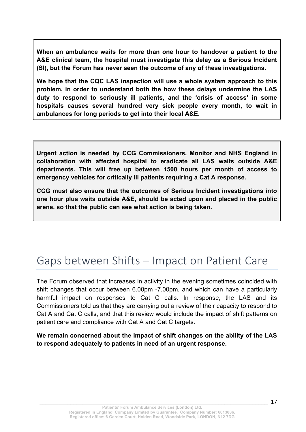**When an ambulance waits for more than one hour to handover a patient to the A&E clinical team, the hospital must investigate this delay as a Serious Incident (SI), but the Forum has never seen the outcome of any of these investigations.** 

**We hope that the CQC LAS inspection will use a whole system approach to this problem, in order to understand both the how these delays undermine the LAS duty to respond to seriously ill patients, and the 'crisis of access' in some hospitals causes several hundred very sick people every month, to wait in ambulances for long periods to get into their local A&E.**

**Urgent action is needed by CCG Commissioners, Monitor and NHS England in collaboration with affected hospital to eradicate all LAS waits outside A&E departments. This will free up between 1500 hours per month of access to emergency vehicles for critically ill patients requiring a Cat A response.**

**CCG must also ensure that the outcomes of Serious Incident investigations into one hour plus waits outside A&E, should be acted upon and placed in the public arena, so that the public can see what action is being taken.**

### Gaps between Shifts – Impact on Patient Care

The Forum observed that increases in activity in the evening sometimes coincided with shift changes that occur between 6.00pm -7.00pm, and which can have a particularly harmful impact on responses to Cat C calls. In response, the LAS and its Commissioners told us that they are carrying out a review of their capacity to respond to Cat A and Cat C calls, and that this review would include the impact of shift patterns on patient care and compliance with Cat A and Cat C targets.

#### **We remain concerned about the impact of shift changes on the ability of the LAS to respond adequately to patients in need of an urgent response.**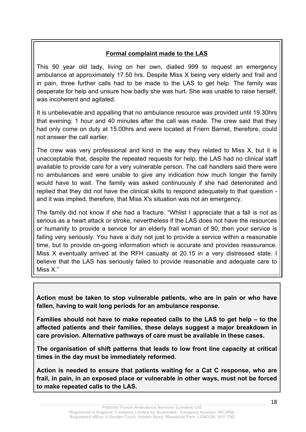### **Formal complaint made to the LAS**

This 90 year old lady, living on her own, dialled 999 to request an emergency ambulance at approximately 17.50 hrs. Despite Miss X being very elderly and frail and in pain, three further calls had to be made to the LAS to get help. The family was desperate for help and unsure how badly she was hurt. She was unable to raise herself, was incoherent and agitated.

It is unbelievable and appalling that no ambulance resource was provided until 19.30hrs that evening: 1 hour and 40 minutes after the call was made. The crew said that they had only come on duty at 15.00hrs and were located at Friern Barnet, therefore, could not answer the call earlier.

The crew was very professional and kind in the way they related to Miss X, but it is unacceptable that, despite the repeated requests for help, the LAS had no clinical staff available to provide care for a very vulnerable person. The call handlers said there were no ambulances and were unable to give any indication how much longer the family would have to wait. The family was asked continuously if she had deteriorated and replied that they did not have the clinical skills to respond adequately to that question and it was implied, therefore, that Miss X's situation was not an emergency.

The family did not know if she had a fracture. "Whilst I appreciate that a fall is not as serious as a heart attack or stroke, nevertheless if the LAS does not have the resources or humanity to provide a service for an elderly frail woman of 90, then your service is failing very seriously. You have a duty not just to provide a service within a reasonable time, but to provide on-going information which is accurate and provides reassurance. Miss X eventually arrived at the RFH casualty at 20.15 in a very distressed state. I believe that the LAS has seriously failed to provide reasonable and adequate care to Miss X<sup>"</sup>

**Action must be taken to stop vulnerable patients, who are in pain or who have fallen, having to wait long periods for an ambulance response.**

**Families should not have to make repeated calls to the LAS to get help – to the affected patients and their families, these delays suggest a major breakdown in care provision. Alternative pathways of care must be available in these cases.**

**The organisation of shift patterns that leads to low front line capacity at critical times in the day must be immediately reformed.** 

**Action is needed to ensure that patients waiting for a Cat C response, who are frail, in pain, in an exposed place or vulnerable in other ways, must not be forced to make repeated calls to the LAS.**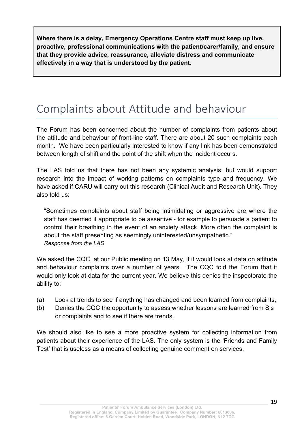**Where there is a delay, Emergency Operations Centre staff must keep up live, proactive, professional communications with the patient/carer/family, and ensure that they provide advice, reassurance, alleviate distress and communicate effectively in a way that is understood by the patient.** 

### Complaints about Attitude and behaviour

The Forum has been concerned about the number of complaints from patients about the attitude and behaviour of front-line staff. There are about 20 such complaints each month. We have been particularly interested to know if any link has been demonstrated between length of shift and the point of the shift when the incident occurs.

The LAS told us that there has not been any systemic analysis, but would support research into the impact of working patterns on complaints type and frequency. We have asked if CARU will carry out this research (Clinical Audit and Research Unit). They also told us:

"Sometimes complaints about staff being intimidating or aggressive are where the staff has deemed it appropriate to be assertive - for example to persuade a patient to control their breathing in the event of an anxiety attack. More often the complaint is about the staff presenting as seemingly uninterested/unsympathetic." *Response from the LAS*

We asked the CQC, at our Public meeting on 13 May, if it would look at data on attitude and behaviour complaints over a number of years. The CQC told the Forum that it would only look at data for the current year. We believe this denies the inspectorate the ability to:

- (a) Look at trends to see if anything has changed and been learned from complaints,
- (b) Denies the CQC the opportunity to assess whether lessons are learned from Sis or complaints and to see if there are trends.

We should also like to see a more proactive system for collecting information from patients about their experience of the LAS. The only system is the 'Friends and Family Test' that is useless as a means of collecting genuine comment on services.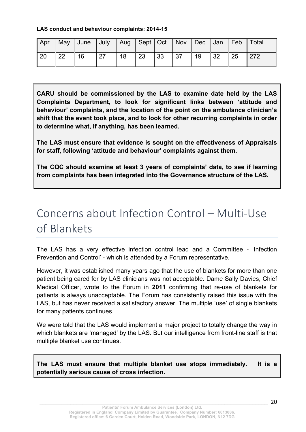#### **LAS conduct and behaviour complaints: 2014-15**

| Apr |    | May   June   July |    |      |            |    |     |    |      |    | Aug Sept Oct Nov Dec Jan Feb Total |
|-----|----|-------------------|----|------|------------|----|-----|----|------|----|------------------------------------|
| 20  | 22 | 16                | 27 | l 18 | $\vert$ 23 | 33 | 137 | 19 | ∥ 32 | 25 | 272                                |

**CARU should be commissioned by the LAS to examine date held by the LAS Complaints Department, to look for significant links between 'attitude and behaviour' complaints, and the location of the point on the ambulance clinician's shift that the event took place, and to look for other recurring complaints in order to determine what, if anything, has been learned.**

**The LAS must ensure that evidence is sought on the effectiveness of Appraisals for staff, following 'attitude and behaviour' complaints against them.**

**The CQC should examine at least 3 years of complaints' data, to see if learning from complaints has been integrated into the Governance structure of the LAS.**

### Concerns about Infection Control – Multi-Use of Blankets

The LAS has a very effective infection control lead and a Committee - 'Infection Prevention and Control' - which is attended by a Forum representative.

However, it was established many years ago that the use of blankets for more than one patient being cared for by LAS clinicians was not acceptable. Dame Sally Davies, Chief Medical Officer, wrote to the Forum in **2011** confirming that re-use of blankets for patients is always unacceptable. The Forum has consistently raised this issue with the LAS, but has never received a satisfactory answer. The multiple 'use' of single blankets for many patients continues.

We were told that the LAS would implement a major project to totally change the way in which blankets are 'managed' by the LAS. But our intelligence from front-line staff is that multiple blanket use continues.

**The LAS must ensure that multiple blanket use stops immediately. It is a potentially serious cause of cross infection.**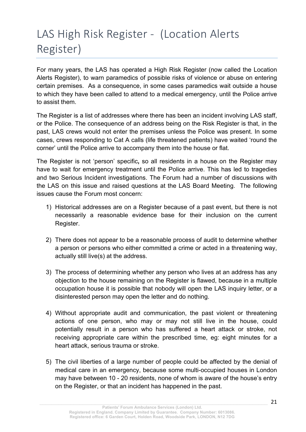### LAS High Risk Register - (Location Alerts Register)

For many years, the LAS has operated a High Risk Register (now called the Location Alerts Register), to warn paramedics of possible risks of violence or abuse on entering certain premises. As a consequence, in some cases paramedics wait outside a house to which they have been called to attend to a medical emergency, until the Police arrive to assist them.

The Register is a list of addresses where there has been an incident involving LAS staff, or the Police. The consequence of an address being on the Risk Register is that, in the past, LAS crews would not enter the premises unless the Police was present. In some cases, crews responding to Cat A calls (life threatened patients) have waited 'round the corner' until the Police arrive to accompany them into the house or flat.

The Register is not 'person' specific**,** so all residents in a house on the Register may have to wait for emergency treatment until the Police arrive. This has led to tragedies and two Serious Incident investigations. The Forum had a number of discussions with the LAS on this issue and raised questions at the LAS Board Meeting. The following issues cause the Forum most concern:

- 1) Historical addresses are on a Register because of a past event, but there is not necessarily a reasonable evidence base for their inclusion on the current Register.
- 2) There does not appear to be a reasonable process of audit to determine whether a person or persons who either committed a crime or acted in a threatening way, actually still live(s) at the address.
- 3) The process of determining whether any person who lives at an address has any objection to the house remaining on the Register is flawed, because in a multiple occupation house it is possible that nobody will open the LAS inquiry letter, or a disinterested person may open the letter and do nothing.
- 4) Without appropriate audit and communication, the past violent or threatening actions of one person, who may or may not still live in the house, could potentially result in a person who has suffered a heart attack or stroke, not receiving appropriate care within the prescribed time, eg: eight minutes for a heart attack, serious trauma or stroke.
- 5) The civil liberties of a large number of people could be affected by the denial of medical care in an emergency, because some multi-occupied houses in London may have between 10 - 20 residents, none of whom is aware of the house's entry on the Register, or that an incident has happened in the past.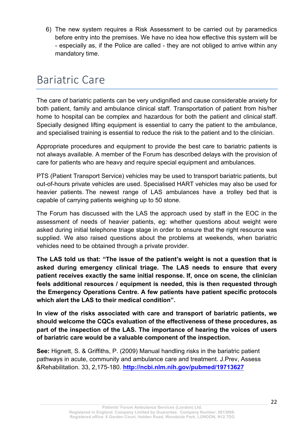6) The new system requires a Risk Assessment to be carried out by paramedics before entry into the premises. We have no idea how effective this system will be - especially as, if the Police are called - they are not obliged to arrive within any mandatory time.

### Bariatric Care

The care of bariatric patients can be very undignified and cause considerable anxiety for both patient, family and ambulance clinical staff. Transportation of patient from his/her home to hospital can be complex and hazardous for both the patient and clinical staff. Specially designed lifting equipment is essential to carry the patient to the ambulance, and specialised training is essential to reduce the risk to the patient and to the clinician.

Appropriate procedures and equipment to provide the best care to bariatric patients is not always available. A member of the Forum has described delays with the provision of care for patients who are heavy and require special equipment and ambulances.

PTS (Patient Transport Service) vehicles may be used to transport bariatric patients, but out-of-hours private vehicles are used. Specialised HART vehicles may also be used for heavier patients. The newest range of LAS ambulances have a trolley bed that is capable of carrying patients weighing up to 50 stone.

The Forum has discussed with the LAS the approach used by staff in the EOC in the assessment of needs of heavier patients, eg: whether questions about weight were asked during initial telephone triage stage in order to ensure that the right resource was supplied. We also raised questions about the problems at weekends, when bariatric vehicles need to be obtained through a private provider.

**The LAS told us that: "The issue of the patient's weight is not a question that is asked during emergency clinical triage. The LAS needs to ensure that every patient receives exactly the same initial response. If, once on scene, the clinician feels additional resources / equipment is needed, this is then requested through the Emergency Operations Centre. A few patients have patient specific protocols which alert the LAS to their medical condition".** 

**In view of the risks associated with care and transport of bariatric patients, we should welcome the CQCs evaluation of the effectiveness of these procedures, as part of the inspection of the LAS. The importance of hearing the voices of users of bariatric care would be a valuable component of the inspection.** 

**See:** Hignett, S. & Griffiths, P. (2009) Manual handling risks in the bariatric patient pathways in acute, community and ambulance care and treatment. J.Prev, Assess &Rehabilitation. 33, 2,175-180. **http://ncbi.nlm.nih.gov/pubmed/19713627**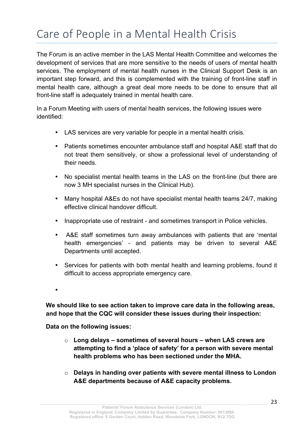### Care of People in a Mental Health Crisis

The Forum is an active member in the LAS Mental Health Committee and welcomes the development of services that are more sensitive to the needs of users of mental health services. The employment of mental health nurses in the Clinical Support Desk is an important step forward, and this is complemented with the training of front-line staff in mental health care, although a great deal more needs to be done to ensure that all front-line staff is adequately trained in mental health care.

In a Forum Meeting with users of mental health services, the following issues were identified:

- LAS services are very variable for people in a mental health crisis.
- Patients sometimes encounter ambulance staff and hospital A&E staff that do not treat them sensitively, or show a professional level of understanding of their needs.
- No specialist mental health teams in the LAS on the front-line (but there are now 3 MH specialist nurses in the Clinical Hub).
- Many hospital A&Es do not have specialist mental health teams 24/7, making effective clinical handover difficult.
- Inappropriate use of restraint and sometimes transport in Police vehicles.
- A&E staff sometimes turn away ambulances with patients that are 'mental health emergencies' - and patients may be driven to several A&E Departments until accepted.
- Services for patients with both mental health and learning problems, found it difficult to access appropriate emergency care.

•

**We should like to see action taken to improve care data in the following areas, and hope that the CQC will consider these issues during their inspection:**

**Data on the following issues:**

- o **Long delays – sometimes of several hours – when LAS crews are attempting to find a 'place of safety' for a person with severe mental health problems who has been sectioned under the MHA.**
- o **Delays in handing over patients with severe mental illness to London A&E departments because of A&E capacity problems.**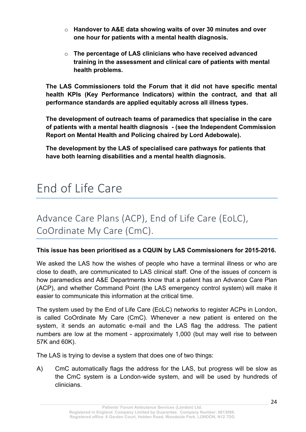- o **Handover to A&E data showing waits of over 30 minutes and over one hour for patients with a mental health diagnosis.**
- o **The percentage of LAS clinicians who have received advanced training in the assessment and clinical care of patients with mental health problems.**

**The LAS Commissioners told the Forum that it did not have specific mental health KPIs (Key Performance Indicators) within the contract, and that all performance standards are applied equitably across all illness types.** 

**The development of outreach teams of paramedics that specialise in the care of patients with a mental health diagnosis - (see the Independent Commission Report on Mental Health and Policing chaired by Lord Adebowale).**

**The development by the LAS of specialised care pathways for patients that have both learning disabilities and a mental health diagnosis.**

### End of Life Care

### Advance Care Plans (ACP), End of Life Care (EoLC), CoOrdinate My Care (CmC).

#### **This issue has been prioritised as a CQUIN by LAS Commissioners for 2015-2016.**

We asked the LAS how the wishes of people who have a terminal illness or who are close to death, are communicated to LAS clinical staff. One of the issues of concern is how paramedics and A&E Departments know that a patient has an Advance Care Plan (ACP), and whether Command Point (the LAS emergency control system) will make it easier to communicate this information at the critical time.

The system used by the End of Life Care (EoLC) networks to register ACPs in London, is called CoOrdinate My Care (CmC). Whenever a new patient is entered on the system, it sends an automatic e-mail and the LAS flag the address. The patient numbers are low at the moment - approximately 1,000 (but may well rise to between 57K and 60K).

The LAS is trying to devise a system that does one of two things:

A) CmC automatically flags the address for the LAS, but progress will be slow as the CmC system is a London-wide system, and will be used by hundreds of clinicians.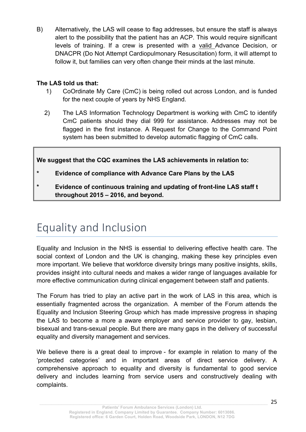B) Alternatively, the LAS will cease to flag addresses, but ensure the staff is always alert to the possibility that the patient has an ACP. This would require significant levels of training. If a crew is presented with a valid Advance Decision, or DNACPR (Do Not Attempt Cardiopulmonary Resuscitation) form, it will attempt to follow it, but families can very often change their minds at the last minute.

#### **The LAS told us that:**

- 1) CoOrdinate My Care (CmC) is being rolled out across London, and is funded for the next couple of years by NHS England.
- 2) The LAS Information Technology Department is working with CmC to identify CmC patients should they dial 999 for assistance. Addresses may not be flagged in the first instance. A Request for Change to the Command Point system has been submitted to develop automatic flagging of CmC calls.

### **We suggest that the CQC examines the LAS achievements in relation to:**

- **\* Evidence of compliance with Advance Care Plans by the LAS**
- **\* Evidence of continuous training and updating of front-line LAS staff t throughout 2015 – 2016, and beyond.**

### Equality and Inclusion

Equality and Inclusion in the NHS is essential to delivering effective health care. The social context of London and the UK is changing, making these key principles even more important. We believe that workforce diversity brings many positive insights, skills, provides insight into cultural needs and makes a wider range of languages available for more effective communication during clinical engagement between staff and patients.

The Forum has tried to play an active part in the work of LAS in this area, which is essentially fragmented across the organization. A member of the Forum attends the Equality and Inclusion Steering Group which has made impressive progress in shaping the LAS to become a more a aware employer and service provider to gay, lesbian, bisexual and trans-sexual people. But there are many gaps in the delivery of successful equality and diversity management and services.

We believe there is a great deal to improve - for example in relation to many of the 'protected categories' and in important areas of direct service delivery. A comprehensive approach to equality and diversity is fundamental to good service delivery and includes learning from service users and constructively dealing with complaints.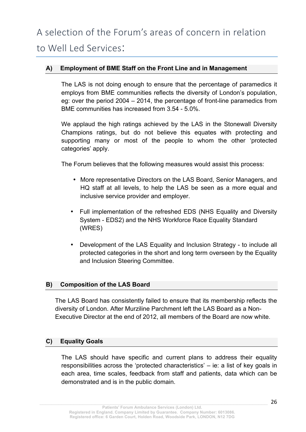#### **A) Employment of BME Staff on the Front Line and in Management**

The LAS is not doing enough to ensure that the percentage of paramedics it employs from BME communities reflects the diversity of London's population, eg: over the period 2004 – 2014, the percentage of front-line paramedics from BME communities has increased from 3.54 - 5.0%.

We applaud the high ratings achieved by the LAS in the Stonewall Diversity Champions ratings, but do not believe this equates with protecting and supporting many or most of the people to whom the other 'protected categories' apply.

The Forum believes that the following measures would assist this process:

- More representative Directors on the LAS Board, Senior Managers, and HQ staff at all levels, to help the LAS be seen as a more equal and inclusive service provider and employer.
- Full implementation of the refreshed EDS (NHS Equality and Diversity System - EDS2) and the NHS Workforce Race Equality Standard (WRES)
- Development of the LAS Equality and Inclusion Strategy to include all protected categories in the short and long term overseen by the Equality and Inclusion Steering Committee.

#### **B) Composition of the LAS Board**

The LAS Board has consistently failed to ensure that its membership reflects the diversity of London. After Murziline Parchment left the LAS Board as a Non-Executive Director at the end of 2012, all members of the Board are now white.

#### **C) Equality Goals**

The LAS should have specific and current plans to address their equality responsibilities across the 'protected characteristics' – ie: a list of key goals in each area, time scales, feedback from staff and patients, data which can be demonstrated and is in the public domain.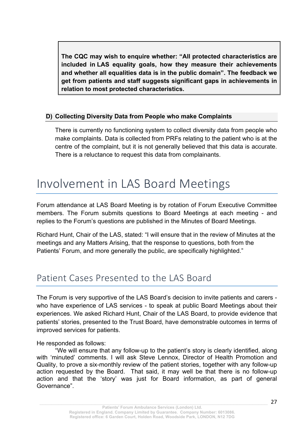**The CQC may wish to enquire whether: "All protected characteristics are included in LAS equality goals, how they measure their achievements and whether all equalities data is in the public domain". The feedback we get from patients and staff suggests significant gaps in achievements in relation to most protected characteristics.**

#### **D) Collecting Diversity Data from People who make Complaints**

There is currently no functioning system to collect diversity data from people who make complaints. Data is collected from PRFs relating to the patient who is at the centre of the complaint, but it is not generally believed that this data is accurate. There is a reluctance to request this data from complainants.

### Involvement in LAS Board Meetings

Forum attendance at LAS Board Meeting is by rotation of Forum Executive Committee members. The Forum submits questions to Board Meetings at each meeting - and replies to the Forum's questions are published in the Minutes of Board Meetings.

Richard Hunt, Chair of the LAS, stated: "I will ensure that in the review of Minutes at the meetings and any Matters Arising, that the response to questions, both from the Patients' Forum, and more generally the public, are specifically highlighted."

### Patient Cases Presented to the LAS Board

The Forum is very supportive of the LAS Board's decision to invite patients and carers who have experience of LAS services - to speak at public Board Meetings about their experiences. We asked Richard Hunt, Chair of the LAS Board, to provide evidence that patients' stories, presented to the Trust Board, have demonstrable outcomes in terms of improved services for patients.

He responded as follows:

 "We will ensure that any follow-up to the patient's story is clearly identified, along with 'minuted' comments. I will ask Steve Lennox, Director of Health Promotion and Quality, to prove a six-monthly review of the patient stories, together with any follow-up action requested by the Board. That said, it may well be that there is no follow-up action and that the 'story' was just for Board information, as part of general Governance".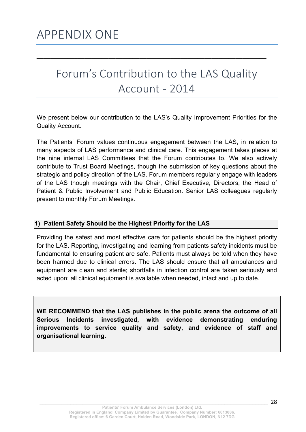### Forum's Contribution to the LAS Quality Account - 2014

**\_\_\_\_\_\_\_\_\_\_\_\_\_\_\_\_\_\_\_\_\_\_\_\_\_\_\_\_\_\_\_\_\_\_\_\_\_\_\_\_\_\_\_\_\_\_\_\_\_\_\_\_\_\_\_\_\_\_\_\_\_\_\_\_\_\_\_**

We present below our contribution to the LAS's Quality Improvement Priorities for the Quality Account.

The Patients' Forum values continuous engagement between the LAS, in relation to many aspects of LAS performance and clinical care. This engagement takes places at the nine internal LAS Committees that the Forum contributes to. We also actively contribute to Trust Board Meetings, though the submission of key questions about the strategic and policy direction of the LAS. Forum members regularly engage with leaders of the LAS though meetings with the Chair, Chief Executive, Directors, the Head of Patient & Public Involvement and Public Education. Senior LAS colleagues regularly present to monthly Forum Meetings.

#### **1) Patient Safety Should be the Highest Priority for the LAS**

Providing the safest and most effective care for patients should be the highest priority for the LAS. Reporting, investigating and learning from patients safety incidents must be fundamental to ensuring patient are safe. Patients must always be told when they have been harmed due to clinical errors. The LAS should ensure that all ambulances and equipment are clean and sterile; shortfalls in infection control are taken seriously and acted upon; all clinical equipment is available when needed, intact and up to date.

**WE RECOMMEND that the LAS publishes in the public arena the outcome of all Serious Incidents investigated, with evidence demonstrating enduring improvements to service quality and safety, and evidence of staff and organisational learning.**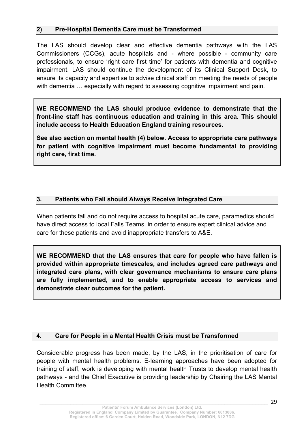#### **2) Pre-Hospital Dementia Care must be Transformed**

The LAS should develop clear and effective dementia pathways with the LAS Commissioners (CCGs), acute hospitals and - where possible - community care professionals, to ensure 'right care first time' for patients with dementia and cognitive impairment. LAS should continue the development of its Clinical Support Desk, to ensure its capacity and expertise to advise clinical staff on meeting the needs of people with dementia ... especially with regard to assessing cognitive impairment and pain.

**WE RECOMMEND the LAS should produce evidence to demonstrate that the front-line staff has continuous education and training in this area. This should include access to Health Education England training resources.** 

**See also section on mental health (4) below. Access to appropriate care pathways for patient with cognitive impairment must become fundamental to providing right care, first time.** 

### **3. Patients who Fall should Always Receive Integrated Care**

When patients fall and do not require access to hospital acute care, paramedics should have direct access to local Falls Teams, in order to ensure expert clinical advice and care for these patients and avoid inappropriate transfers to A&E.

**WE RECOMMEND that the LAS ensures that care for people who have fallen is provided within appropriate timescales, and includes agreed care pathways and integrated care plans, with clear governance mechanisms to ensure care plans are fully implemented, and to enable appropriate access to services and demonstrate clear outcomes for the patient.**

#### **4. Care for People in a Mental Health Crisis must be Transformed**

Considerable progress has been made, by the LAS, in the prioritisation of care for people with mental health problems. E-learning approaches have been adopted for training of staff, work is developing with mental health Trusts to develop mental health pathways - and the Chief Executive is providing leadership by Chairing the LAS Mental Health Committee.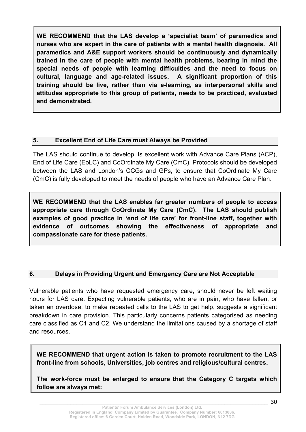**WE RECOMMEND that the LAS develop a 'specialist team' of paramedics and nurses who are expert in the care of patients with a mental health diagnosis. All paramedics and A&E support workers should be continuously and dynamically trained in the care of people with mental health problems, bearing in mind the special needs of people with learning difficulties and the need to focus on cultural, language and age-related issues. A significant proportion of this training should be live, rather than via e-learning, as interpersonal skills and attitudes appropriate to this group of patients, needs to be practiced, evaluated and demonstrated.**

#### **5. Excellent End of Life Care must Always be Provided**

The LAS should continue to develop its excellent work with Advance Care Plans (ACP), End of Life Care (EoLC) and CoOrdinate My Care (CmC). Protocols should be developed between the LAS and London's CCGs and GPs, to ensure that CoOrdinate My Care (CmC) is fully developed to meet the needs of people who have an Advance Care Plan.

**WE RECOMMEND that the LAS enables far greater numbers of people to access appropriate care through CoOrdinate My Care (CmC). The LAS should publish examples of good practice in 'end of life care' for front-line staff, together with evidence of outcomes showing the effectiveness of appropriate and compassionate care for these patients.**

### **6. Delays in Providing Urgent and Emergency Care are Not Acceptable**

Vulnerable patients who have requested emergency care, should never be left waiting hours for LAS care. Expecting vulnerable patients, who are in pain, who have fallen, or taken an overdose, to make repeated calls to the LAS to get help, suggests a significant breakdown in care provision. This particularly concerns patients categorised as needing care classified as C1 and C2. We understand the limitations caused by a shortage of staff and resources.

**WE RECOMMEND that urgent action is taken to promote recruitment to the LAS front-line from schools, Universities, job centres and religious/cultural centres.** 

**The work-force must be enlarged to ensure that the Category C targets which follow are always met:**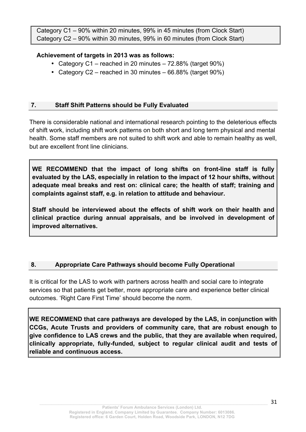Category C1 – 90% within 20 minutes, 99% in 45 minutes (from Clock Start) Category C2 – 90% within 30 minutes, 99% in 60 minutes (from Clock Start)

#### **Achievement of targets in 2013 was as follows:**

- Category C1 reached in 20 minutes 72.88% (target 90%)
- Category C2 reached in 30 minutes 66.88% (target 90%)

#### **7. Staff Shift Patterns should be Fully Evaluated**

There is considerable national and international research pointing to the deleterious effects of shift work, including shift work patterns on both short and long term physical and mental health. Some staff members are not suited to shift work and able to remain healthy as well, but are excellent front line clinicians.

**WE RECOMMEND that the impact of long shifts on front-line staff is fully evaluated by the LAS, especially in relation to the impact of 12 hour shifts, without adequate meal breaks and rest on: clinical care; the health of staff; training and complaints against staff, e.g. in relation to attitude and behaviour.** 

**Staff should be interviewed about the effects of shift work on their health and clinical practice during annual appraisals, and be involved in development of improved alternatives.** 

### **8. Appropriate Care Pathways should become Fully Operational**

It is critical for the LAS to work with partners across health and social care to integrate services so that patients get better, more appropriate care and experience better clinical outcomes. 'Right Care First Time' should become the norm.

**WE RECOMMEND that care pathways are developed by the LAS, in conjunction with CCGs, Acute Trusts and providers of community care, that are robust enough to give confidence to LAS crews and the public, that they are available when required, clinically appropriate, fully-funded, subject to regular clinical audit and tests of reliable and continuous access.**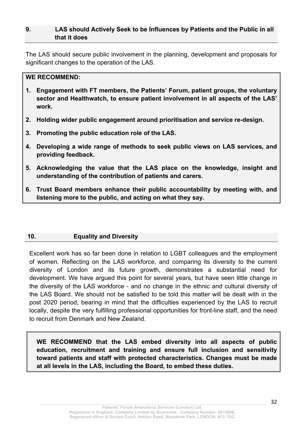#### **9. LAS should Actively Seek to be Influences by Patients and the Public in all that it does**

The LAS should secure public involvement in the planning, development and proposals for significant changes to the operation of the LAS.

#### **WE RECOMMEND:**

- **1. Engagement with FT members, the Patients' Forum, patient groups, the voluntary sector and Healthwatch, to ensure patient involvement in all aspects of the LAS' work.**
- **2. Holding wider public engagement around prioritisation and service re-design.**
- **3. Promoting the public education role of the LAS.**
- **4. Developing a wide range of methods to seek public views on LAS services, and providing feedback.**
- **5. Acknowledging the value that the LAS place on the knowledge, insight and understanding of the contribution of patients and carers.**
- **6. Trust Board members enhance their public accountability by meeting with, and listening more to the public, and acting on what they say.**

#### **10. Equality and Diversity**

Excellent work has so far been done in relation to LGBT colleagues and the employment of women. Reflecting on the LAS workforce, and comparing its diversity to the current diversity of London and its future growth, demonstrates a substantial need for development. We have argued this point for several years, but have seen little change in the diversity of the LAS workforce - and no change in the ethnic and cultural diversity of the LAS Board. We should not be satisfied to be told this matter will be dealt with in the post 2020 period, bearing in mind that the difficulties experienced by the LAS to recruit locally, despite the very fulfilling professional opportunities for front-line staff, and the need to recruit from Denmark and New Zealand.

**WE RECOMMEND that the LAS embed diversity into all aspects of public education, recruitment and training and ensure full inclusion and sensitivity toward patients and staff with protected characteristics. Changes must be made at all levels in the LAS, including the Board, to embed these duties.**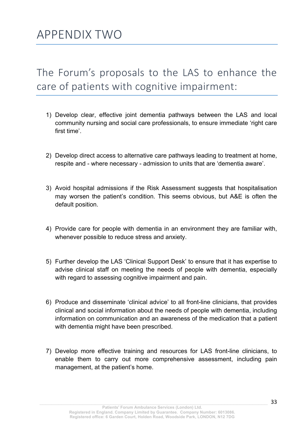The Forum's proposals to the LAS to enhance the care of patients with cognitive impairment:

- 1) Develop clear, effective joint dementia pathways between the LAS and local community nursing and social care professionals, to ensure immediate 'right care first time'.
- 2) Develop direct access to alternative care pathways leading to treatment at home, respite and - where necessary - admission to units that are 'dementia aware'.
- 3) Avoid hospital admissions if the Risk Assessment suggests that hospitalisation may worsen the patient's condition. This seems obvious, but A&E is often the default position.
- 4) Provide care for people with dementia in an environment they are familiar with, whenever possible to reduce stress and anxiety.
- 5) Further develop the LAS 'Clinical Support Desk' to ensure that it has expertise to advise clinical staff on meeting the needs of people with dementia, especially with regard to assessing cognitive impairment and pain.
- 6) Produce and disseminate 'clinical advice' to all front-line clinicians, that provides clinical and social information about the needs of people with dementia, including information on communication and an awareness of the medication that a patient with dementia might have been prescribed.
- 7) Develop more effective training and resources for LAS front-line clinicians, to enable them to carry out more comprehensive assessment, including pain management, at the patient's home.